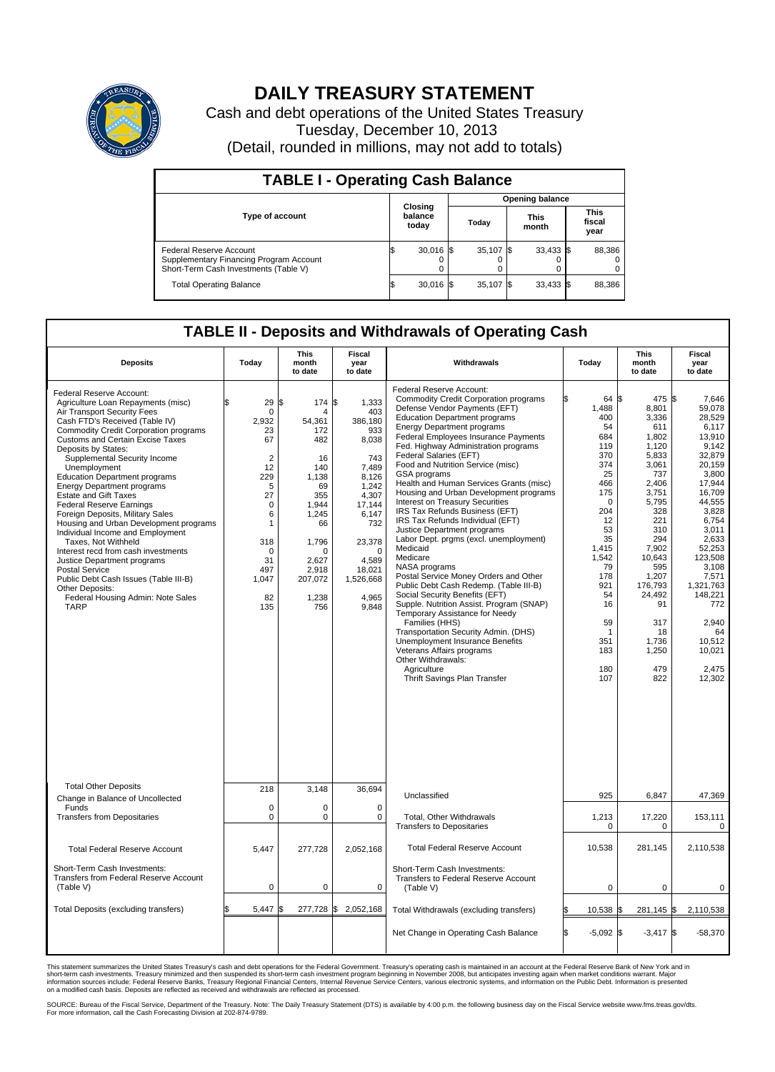

## **DAILY TREASURY STATEMENT**

Cash and debt operations of the United States Treasury Tuesday, December 10, 2013 (Detail, rounded in millions, may not add to totals)

| <b>TABLE I - Operating Cash Balance</b>                                                                     |  |                             |  |                        |  |                      |  |                               |  |
|-------------------------------------------------------------------------------------------------------------|--|-----------------------------|--|------------------------|--|----------------------|--|-------------------------------|--|
|                                                                                                             |  | Closing<br>balance<br>today |  | <b>Opening balance</b> |  |                      |  |                               |  |
| <b>Type of account</b>                                                                                      |  |                             |  | Today                  |  | <b>This</b><br>month |  | <b>This</b><br>fiscal<br>year |  |
| Federal Reserve Account<br>Supplementary Financing Program Account<br>Short-Term Cash Investments (Table V) |  | $30,016$ \$                 |  | 35,107 \$              |  | $33,433$ \$          |  | 88,386                        |  |
| <b>Total Operating Balance</b>                                                                              |  | $30,016$ \$                 |  | 35,107 \$              |  | $33,433$ \$          |  | 88,386                        |  |

## **TABLE II - Deposits and Withdrawals of Operating Cash**

| <b>Deposits</b>                                                                                                                                                                                                                                                                                                                                                                                                                                                                                                                                                                                                                                                                                                                                                                                           | Today                                                                                                                                                       | <b>This</b><br>month<br>to date                                                                                                                         | <b>Fiscal</b><br>year<br>to date                                                                                                                                                           | Withdrawals                                                                                                                                                                                                                                                                                                                                                                                                                                                                                                                                                                                                                                                                                                                                                                                                                                                                                                                                                                                                                                                                    | Today                                                                                                                                                                                                         | <b>This</b><br>month<br>to date                                                                                                                                                                                                              | Fiscal<br>year<br>to date                                                                                                                                                                                                                                                        |
|-----------------------------------------------------------------------------------------------------------------------------------------------------------------------------------------------------------------------------------------------------------------------------------------------------------------------------------------------------------------------------------------------------------------------------------------------------------------------------------------------------------------------------------------------------------------------------------------------------------------------------------------------------------------------------------------------------------------------------------------------------------------------------------------------------------|-------------------------------------------------------------------------------------------------------------------------------------------------------------|---------------------------------------------------------------------------------------------------------------------------------------------------------|--------------------------------------------------------------------------------------------------------------------------------------------------------------------------------------------|--------------------------------------------------------------------------------------------------------------------------------------------------------------------------------------------------------------------------------------------------------------------------------------------------------------------------------------------------------------------------------------------------------------------------------------------------------------------------------------------------------------------------------------------------------------------------------------------------------------------------------------------------------------------------------------------------------------------------------------------------------------------------------------------------------------------------------------------------------------------------------------------------------------------------------------------------------------------------------------------------------------------------------------------------------------------------------|---------------------------------------------------------------------------------------------------------------------------------------------------------------------------------------------------------------|----------------------------------------------------------------------------------------------------------------------------------------------------------------------------------------------------------------------------------------------|----------------------------------------------------------------------------------------------------------------------------------------------------------------------------------------------------------------------------------------------------------------------------------|
| Federal Reserve Account:<br>Agriculture Loan Repayments (misc)<br>Air Transport Security Fees<br>Cash FTD's Received (Table IV)<br><b>Commodity Credit Corporation programs</b><br><b>Customs and Certain Excise Taxes</b><br>Deposits by States:<br>Supplemental Security Income<br>Unemployment<br><b>Education Department programs</b><br><b>Energy Department programs</b><br><b>Estate and Gift Taxes</b><br><b>Federal Reserve Earnings</b><br>Foreign Deposits, Military Sales<br>Housing and Urban Development programs<br>Individual Income and Employment<br>Taxes. Not Withheld<br>Interest recd from cash investments<br>Justice Department programs<br><b>Postal Service</b><br>Public Debt Cash Issues (Table III-B)<br>Other Deposits:<br>Federal Housing Admin: Note Sales<br><b>TARP</b> | \$<br>29<br>0<br>2,932<br>23<br>67<br>$\overline{2}$<br>12<br>229<br>5<br>27<br>$\mathbf 0$<br>6<br>1<br>318<br>$\Omega$<br>31<br>497<br>1,047<br>82<br>135 | \$<br>174<br>54,361<br>172<br>482<br>16<br>140<br>1.138<br>69<br>355<br>1,944<br>1.245<br>66<br>1.796<br>O<br>2,627<br>2,918<br>207,072<br>1,238<br>756 | S.<br>1,333<br>403<br>386,180<br>933<br>8,038<br>743<br>7.489<br>8,126<br>1,242<br>4,307<br>17,144<br>6,147<br>732<br>23,378<br>$\Omega$<br>4,589<br>18,021<br>1,526,668<br>4,965<br>9,848 | Federal Reserve Account:<br><b>Commodity Credit Corporation programs</b><br>Defense Vendor Payments (EFT)<br><b>Education Department programs</b><br><b>Energy Department programs</b><br><b>Federal Employees Insurance Payments</b><br>Fed. Highway Administration programs<br>Federal Salaries (EFT)<br>Food and Nutrition Service (misc)<br>GSA programs<br>Health and Human Services Grants (misc)<br>Housing and Urban Development programs<br>Interest on Treasury Securities<br>IRS Tax Refunds Business (EFT)<br>IRS Tax Refunds Individual (EFT)<br>Justice Department programs<br>Labor Dept. prgms (excl. unemployment)<br>Medicaid<br>Medicare<br>NASA programs<br>Postal Service Money Orders and Other<br>Public Debt Cash Redemp. (Table III-B)<br>Social Security Benefits (EFT)<br>Supple. Nutrition Assist. Program (SNAP)<br>Temporary Assistance for Needy<br>Families (HHS)<br>Transportation Security Admin. (DHS)<br>Unemployment Insurance Benefits<br>Veterans Affairs programs<br>Other Withdrawals:<br>Agriculture<br>Thrift Savings Plan Transfer | 64 \$<br>1,488<br>400<br>54<br>684<br>119<br>370<br>374<br>25<br>466<br>175<br>$\mathbf 0$<br>204<br>12<br>53<br>35<br>1,415<br>1,542<br>79<br>178<br>921<br>54<br>16<br>59<br>-1<br>351<br>183<br>180<br>107 | 475 \$<br>8,801<br>3,336<br>611<br>1.802<br>1,120<br>5.833<br>3,061<br>737<br>2,406<br>3,751<br>5,795<br>328<br>221<br>310<br>294<br>7,902<br>10.643<br>595<br>1,207<br>176.793<br>24,492<br>91<br>317<br>18<br>1,736<br>1,250<br>479<br>822 | 7,646<br>59,078<br>28.529<br>6,117<br>13.910<br>9,142<br>32.879<br>20,159<br>3,800<br>17,944<br>16,709<br>44,555<br>3,828<br>6.754<br>3,011<br>2,633<br>52,253<br>123.508<br>3,108<br>7,571<br>1.321.763<br>148,221<br>772<br>2.940<br>64<br>10,512<br>10,021<br>2.475<br>12,302 |
| <b>Total Other Deposits</b><br>Change in Balance of Uncollected                                                                                                                                                                                                                                                                                                                                                                                                                                                                                                                                                                                                                                                                                                                                           | 218                                                                                                                                                         | 3,148                                                                                                                                                   | 36,694                                                                                                                                                                                     | Unclassified                                                                                                                                                                                                                                                                                                                                                                                                                                                                                                                                                                                                                                                                                                                                                                                                                                                                                                                                                                                                                                                                   | 925                                                                                                                                                                                                           | 6,847                                                                                                                                                                                                                                        | 47,369                                                                                                                                                                                                                                                                           |
| Funds<br><b>Transfers from Depositaries</b>                                                                                                                                                                                                                                                                                                                                                                                                                                                                                                                                                                                                                                                                                                                                                               | $\mathbf 0$<br>0                                                                                                                                            | 0<br>0                                                                                                                                                  | $\mathbf 0$<br>0                                                                                                                                                                           | Total, Other Withdrawals<br><b>Transfers to Depositaries</b>                                                                                                                                                                                                                                                                                                                                                                                                                                                                                                                                                                                                                                                                                                                                                                                                                                                                                                                                                                                                                   | 1,213<br>$\mathbf 0$                                                                                                                                                                                          | 17,220<br>0                                                                                                                                                                                                                                  | 153,111<br>0                                                                                                                                                                                                                                                                     |
| <b>Total Federal Reserve Account</b>                                                                                                                                                                                                                                                                                                                                                                                                                                                                                                                                                                                                                                                                                                                                                                      | 5,447                                                                                                                                                       | 277,728                                                                                                                                                 | 2,052,168                                                                                                                                                                                  | <b>Total Federal Reserve Account</b>                                                                                                                                                                                                                                                                                                                                                                                                                                                                                                                                                                                                                                                                                                                                                                                                                                                                                                                                                                                                                                           | 10,538                                                                                                                                                                                                        | 281,145                                                                                                                                                                                                                                      | 2,110,538                                                                                                                                                                                                                                                                        |
| Short-Term Cash Investments:<br>Transfers from Federal Reserve Account<br>(Table V)                                                                                                                                                                                                                                                                                                                                                                                                                                                                                                                                                                                                                                                                                                                       | $\pmb{0}$                                                                                                                                                   | 0                                                                                                                                                       | $\mathbf 0$                                                                                                                                                                                | Short-Term Cash Investments:<br>Transfers to Federal Reserve Account<br>(Table V)                                                                                                                                                                                                                                                                                                                                                                                                                                                                                                                                                                                                                                                                                                                                                                                                                                                                                                                                                                                              | $\mathbf 0$                                                                                                                                                                                                   | 0                                                                                                                                                                                                                                            | 0                                                                                                                                                                                                                                                                                |
| Total Deposits (excluding transfers)                                                                                                                                                                                                                                                                                                                                                                                                                                                                                                                                                                                                                                                                                                                                                                      | 5,447                                                                                                                                                       | 277,728 \$<br>\$                                                                                                                                        | 2,052,168                                                                                                                                                                                  | Total Withdrawals (excluding transfers)                                                                                                                                                                                                                                                                                                                                                                                                                                                                                                                                                                                                                                                                                                                                                                                                                                                                                                                                                                                                                                        | 10,538 \$<br>\$                                                                                                                                                                                               | $281,145$ \$                                                                                                                                                                                                                                 | 2,110,538                                                                                                                                                                                                                                                                        |
|                                                                                                                                                                                                                                                                                                                                                                                                                                                                                                                                                                                                                                                                                                                                                                                                           |                                                                                                                                                             |                                                                                                                                                         |                                                                                                                                                                                            | Net Change in Operating Cash Balance                                                                                                                                                                                                                                                                                                                                                                                                                                                                                                                                                                                                                                                                                                                                                                                                                                                                                                                                                                                                                                           | Ŝ.<br>$-5,092$ \$                                                                                                                                                                                             | $-3,417$ \$                                                                                                                                                                                                                                  | $-58,370$                                                                                                                                                                                                                                                                        |

This statement summarizes the United States Treasury's cash and debt operations for the Federal Government. Treasury's operating cash is maintained in an account at the Federal Reserve Bank of New York and in<br>short-term ca

SOURCE: Bureau of the Fiscal Service, Department of the Treasury. Note: The Daily Treasury Statement (DTS) is available by 4:00 p.m. the following business day on the Fiscal Service website www.fms.treas.gov/dts.<br>For more